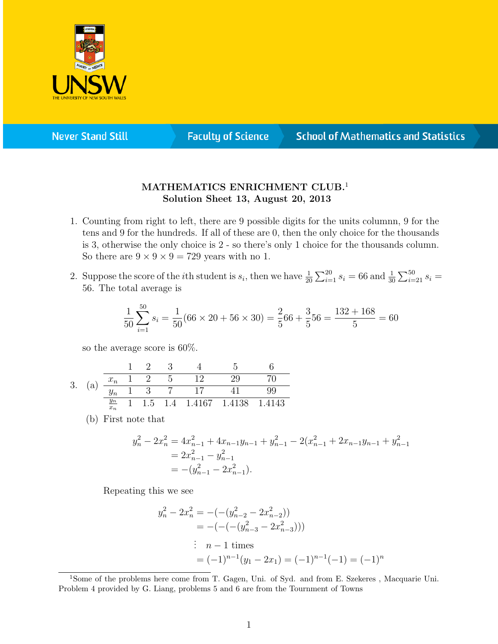

**Never Stand Still** 

**Faculty of Science** 

## **School of Mathematics and Statistics**

## MATHEMATICS ENRICHMENT CLUB.<sup>1</sup> Solution Sheet 13, August 20, 2013

- 1. Counting from right to left, there are 9 possible digits for the units columnn, 9 for the tens and 9 for the hundreds. If all of these are 0, then the only choice for the thousands is 3, otherwise the only choice is 2 - so there's only 1 choice for the thousands column. So there are  $9 \times 9 \times 9 = 729$  years with no 1.
- 2. Suppose the score of the *i*th student is  $s_i$ , then we have  $\frac{1}{20} \sum_{i=1}^{20} s_i = 66$  and  $\frac{1}{30} \sum_{i=21}^{50} s_i =$ 56. The total average is

$$
\frac{1}{50} \sum_{i=1}^{50} s_i = \frac{1}{50} (66 \times 20 + 56 \times 30) = \frac{2}{5} 66 + \frac{3}{5} 56 = \frac{132 + 168}{5} = 60
$$

so the average score is 60%.

3. (a) 
$$
\frac{\frac{1}{x_n} - \frac{2}{1} - \frac{3}{2}}{\frac{y_n}{x_n} - \frac{1}{1} - \frac{3}{1} - \frac{7}{1} - \frac{17}{1} - \frac{41}{1} - \frac{17}{1} - \frac{41}{1} - \frac{99}{1} - \frac{17}{1} - \frac{17}{1} - \frac{41}{1} - \frac{17}{1} - \frac{41}{1} - \frac{17}{1} - \frac{41}{1} - \frac{17}{1} - \frac{41}{1} - \frac{17}{1} - \frac{41}{1} - \frac{17}{1} - \frac{41}{1} - \frac{17}{1} - \frac{41}{1} - \frac{17}{1} - \frac{41}{1} - \frac{17}{1} - \frac{41}{1} - \frac{17}{1} - \frac{41}{1} - \frac{17}{1} - \frac{41}{1} - \frac{17}{1} - \frac{41}{1} - \frac{17}{1} - \frac{41}{1} - \frac{17}{1} - \frac{17}{1} - \frac{41}{1} - \frac{17}{1} - \frac{17}{1} - \frac{17}{1} - \frac{17}{1} - \frac{17}{1} - \frac{17}{1} - \frac{17}{1} - \frac{17}{1} - \frac{17}{1} - \frac{17}{1} - \frac{17}{1} - \frac{17}{1} - \frac{17}{1} - \frac{17}{1} - \frac{17}{1} - \frac{17}{1} - \frac{17}{1} - \frac{17}{1} - \frac{17}{1} - \frac{17}{1} - \frac{17}{1} - \frac{17}{1} - \frac{17}{1} - \frac{17}{1} - \frac{17}{1} - \frac{17}{1} - \frac{17}{1} - \frac{17}{1} - \frac{17}{1} - \frac{17}{1} - \frac{17}{1} - \frac{17}{1} - \frac{17}{1} - \frac{17}{1} - \frac{17}{1} - \frac{17}{1} - \frac{17}{1} - \frac{17}{1} - \frac{17}{1} - \frac{17}{1} - \frac{17}{1} - \frac{17}{1} - \frac
$$

(b) First note that

$$
y_n^2 - 2x_n^2 = 4x_{n-1}^2 + 4x_{n-1}y_{n-1} + y_{n-1}^2 - 2(x_{n-1}^2 + 2x_{n-1}y_{n-1} + y_{n-1}^2)
$$
  
= 
$$
2x_{n-1}^2 - y_{n-1}^2
$$
  
= 
$$
-(y_{n-1}^2 - 2x_{n-1}^2).
$$

Repeating this we see

$$
y_n^2 - 2x_n^2 = -(-(y_{n-2}^2 - 2x_{n-2}^2))
$$
  
= -(-(-(y\_{n-3}^2 - 2x\_{n-3}^2)))  

$$
\vdots \quad n-1 \text{ times}
$$
  
= (-1)<sup>n-1</sup>(y<sub>1</sub> - 2x<sub>1</sub>) = (-1)<sup>n-1</sup>(-1) = (-1)<sup>n</sup>

<sup>&</sup>lt;sup>1</sup>Some of the problems here come from T. Gagen, Uni. of Syd. and from E. Szekeres, Macquarie Uni. Problem 4 provided by G. Liang, problems 5 and 6 are from the Tournment of Towns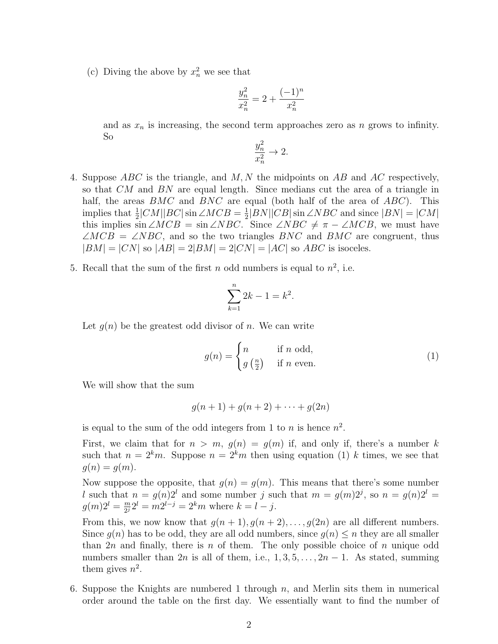(c) Diving the above by  $x_n^2$  we see that

$$
\frac{y_n^2}{x_n^2} = 2 + \frac{(-1)^n}{x_n^2}
$$

and as  $x_n$  is increasing, the second term approaches zero as n grows to infinity. So

$$
\frac{y_n^2}{x_n^2} \to 2.
$$

- 4. Suppose  $ABC$  is the triangle, and M, N the midpoints on AB and AC respectively, so that CM and BN are equal length. Since medians cut the area of a triangle in half, the areas  $BMC$  and  $BNC$  are equal (both half of the area of  $ABC$ ). This implies that  $\frac{1}{2}$ |CM||BC| sin ∠MCB =  $\frac{1}{2}$  $\frac{1}{2}$ | $BN$ || $CB$ | $\sin \angle NBC$  and since  $|BN| = |CM|$ this implies sin ∠MCB = sin ∠NBC. Since ∠NBC  $\neq \pi - \angle MCB$ , we must have  $\angle MCB = \angle NBC$ , and so the two triangles BNC and BMC are congruent, thus  $|BM| = |CN|$  so  $|AB| = 2|BM| = 2|CN| = |AC|$  so  $ABC$  is isoceles.
- 5. Recall that the sum of the first n odd numbers is equal to  $n^2$ , i.e.

$$
\sum_{k=1}^{n} 2k - 1 = k^2
$$

.

Let  $g(n)$  be the greatest odd divisor of n. We can write

$$
g(n) = \begin{cases} n & \text{if } n \text{ odd,} \\ g\left(\frac{n}{2}\right) & \text{if } n \text{ even.} \end{cases}
$$
 (1)

We will show that the sum

$$
g(n + 1) + g(n + 2) + \cdots + g(2n)
$$

is equal to the sum of the odd integers from 1 to *n* is hence  $n^2$ .

First, we claim that for  $n > m$ ,  $q(n) = q(m)$  if, and only if, there's a number k such that  $n = 2<sup>k</sup>m$ . Suppose  $n = 2<sup>k</sup>m$  then using equation (1) k times, we see that  $g(n) = g(m)$ .

Now suppose the opposite, that  $g(n) = g(m)$ . This means that there's some number l such that  $n = g(n)2^l$  and some number j such that  $m = g(m)2^j$ , so  $n = g(n)2^l =$  $g(m)2^l = \frac{m}{2l}$  $\frac{m}{2^j} 2^l = m 2^{l-j} = 2^k m$  where  $k = l - j$ .

From this, we now know that  $g(n + 1)$ ,  $g(n + 2)$ , ...,  $g(2n)$  are all different numbers. Since  $q(n)$  has to be odd, they are all odd numbers, since  $q(n) \leq n$  they are all smaller than  $2n$  and finally, there is n of them. The only possible choice of n unique odd numbers smaller than  $2n$  is all of them, i.e.,  $1, 3, 5, \ldots, 2n-1$ . As stated, summing them gives  $n^2$ .

6. Suppose the Knights are numbered 1 through  $n$ , and Merlin sits them in numerical order around the table on the first day. We essentially want to find the number of